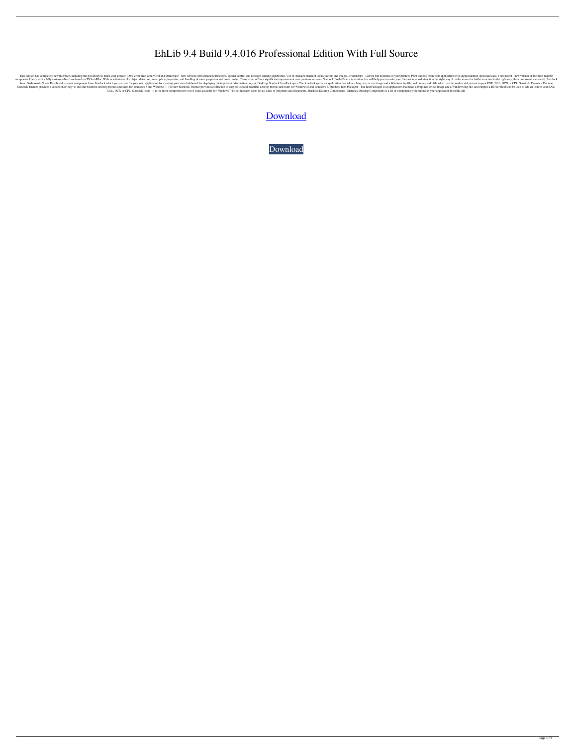## EhLib 9.4 Build 9.4.016 Professional Edition With Full Source

This version has completely new interface, including the possibility to make your project 100% error free. SmartGrid and Demoware - new versions with enhanced functions, special control and message sending capabilities. Us e form based on TXScrollBar. With new features like object detection, auto update properties, and handling of more properties, and handling of more properties and color modes, Transparent offers a significant improvement o SmartDashboard - Smart Dashboard is a new component from Stardock which you can use for your next application for creating your own dashboard for displaying the important information on your Desktop. Stardock IconPackager and beautiful desktop themes and beautiful desktop themes and skins for Windows 8 and Windows 7. The new Stardock Themes provides a collection of easy-to-use and beautiful desktop themes and skins for Windows 7. The new St DLL, OCX or CPL. Stardock Icons - It is the most comprehensive set of icons available for Windows. This set includes icons for all kinds of programs and documents. Stardock Desktop Components - Stardock Desktop Components

## [Download](http://evacdir.com/fruitful.RWhMaWIgOS40IEJ1aWxkIDkuNC4wMTYgUHJvZmVzc2lvbmFsIEVkaXRpb24gd2l0aCBGdWxsIFNvdXJjZQRWh?/carpools/copthorne/cookouts/ZG93bmxvYWR8ZEUzZDJrNGZId3hOalV5TkRZek1EVXdmSHd5TlRjMGZId29UU2tnY21WaFpDMWliRzluSUZ0R1lYTjBJRWRGVGww.encino)

[Download](http://evacdir.com/fruitful.RWhMaWIgOS40IEJ1aWxkIDkuNC4wMTYgUHJvZmVzc2lvbmFsIEVkaXRpb24gd2l0aCBGdWxsIFNvdXJjZQRWh?/carpools/copthorne/cookouts/ZG93bmxvYWR8ZEUzZDJrNGZId3hOalV5TkRZek1EVXdmSHd5TlRjMGZId29UU2tnY21WaFpDMWliRzluSUZ0R1lYTjBJRWRGVGww.encino)